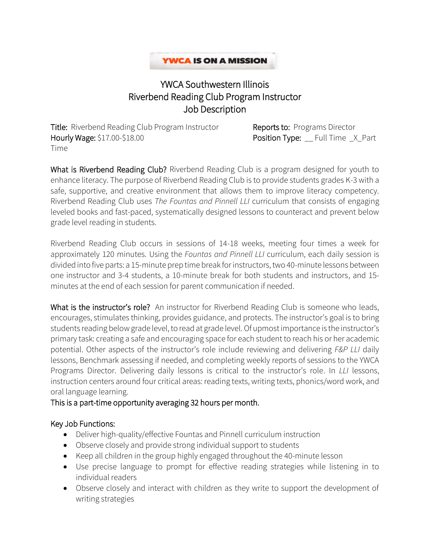### **YWCA IS ON A MISSION**

# YWCA Southwestern Illinois Riverbend Reading Club Program Instructor Job Description

Title: Riverbend Reading Club Program Instructor Reports to: Programs Director Hourly Wage: \$17.00-\$18.00 **Position Type:** \_\_ Full Time \_X\_Part Time

What is Riverbend Reading Club? Riverbend Reading Club is a program designed for youth to enhance literacy. The purpose of Riverbend Reading Club is to provide students grades K-3 with a safe, supportive, and creative environment that allows them to improve literacy competency. Riverbend Reading Club uses *The Fountas and Pinnell LLI* curriculum that consists of engaging leveled books and fast-paced, systematically designed lessons to counteract and prevent below grade level reading in students.

Riverbend Reading Club occurs in sessions of 14-18 weeks, meeting four times a week for approximately 120 minutes. Using the *Fountas and Pinnell LLI* curriculum, each daily session is divided into five parts: a 15-minute prep time break for instructors, two 40-minute lessons between one instructor and 3-4 students, a 10-minute break for both students and instructors, and 15 minutes at the end of each session for parent communication if needed.

What is the instructor's role? An instructor for Riverbend Reading Club is someone who leads, encourages, stimulates thinking, provides guidance, and protects. The instructor's goal is to bring students reading below grade level, to read at grade level. Of upmostimportance is the instructor's primary task: creating a safe and encouraging space for each student to reach his or her academic potential. Other aspects of the instructor's role include reviewing and delivering *F&P LLI* daily lessons, Benchmark assessing if needed, and completing weekly reports of sessions to the YWCA Programs Director. Delivering daily lessons is critical to the instructor's role. In *LLI* lessons, instruction centers around four critical areas: reading texts, writing texts, phonics/word work, and oral language learning.

#### This is a part-time opportunity averaging 32 hours per month.

#### Key Job Functions:

- Deliver high-quality/effective Fountas and Pinnell curriculum instruction
- Observe closely and provide strong individual support to students
- Keep all children in the group highly engaged throughout the 40-minute lesson
- Use precise language to prompt for effective reading strategies while listening in to individual readers
- Observe closely and interact with children as they write to support the development of writing strategies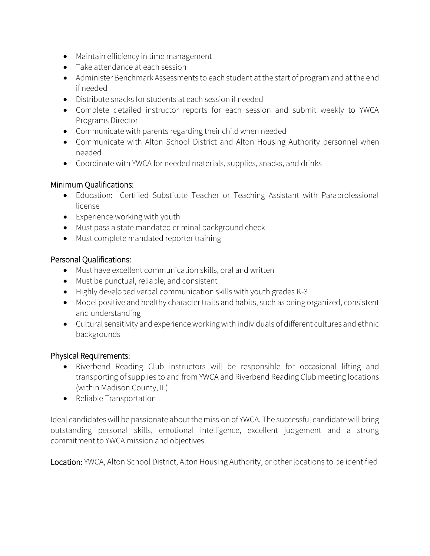- Maintain efficiency in time management
- Take attendance at each session
- Administer Benchmark Assessments to each student at the start of program and at the end if needed
- Distribute snacks for students at each session if needed
- Complete detailed instructor reports for each session and submit weekly to YWCA Programs Director
- Communicate with parents regarding their child when needed
- Communicate with Alton School District and Alton Housing Authority personnel when needed
- Coordinate with YWCA for needed materials, supplies, snacks, and drinks

#### Minimum Qualifications:

- Education: Certified Substitute Teacher or Teaching Assistant with Paraprofessional license
- Experience working with youth
- Must pass a state mandated criminal background check
- Must complete mandated reporter training

## Personal Qualifications:

- Must have excellent communication skills, oral and written
- Must be punctual, reliable, and consistent
- Highly developed verbal communication skills with youth grades K-3
- Model positive and healthy character traits and habits, such as being organized, consistent and understanding
- Cultural sensitivity and experience working with individuals of different cultures and ethnic backgrounds

#### Physical Requirements:

- Riverbend Reading Club instructors will be responsible for occasional lifting and transporting of supplies to and from YWCA and Riverbend Reading Club meeting locations (within Madison County, IL).
- Reliable Transportation

Ideal candidates will be passionate about the mission of YWCA. The successful candidate will bring outstanding personal skills, emotional intelligence, excellent judgement and a strong commitment to YWCA mission and objectives.

Location: YWCA, Alton School District, Alton Housing Authority, or other locations to be identified